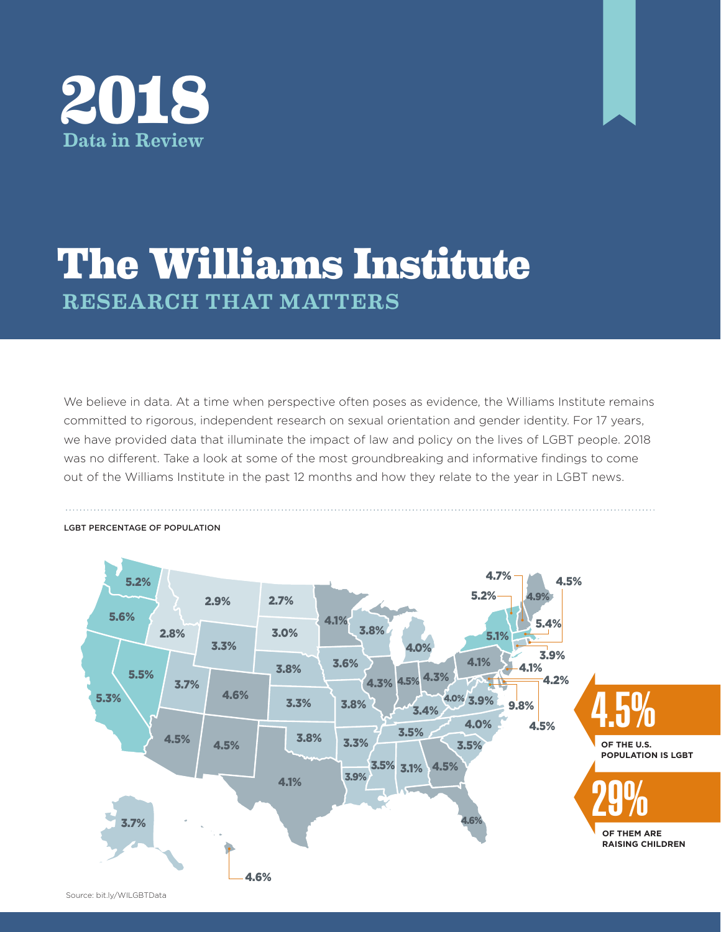



## **The Williams Institute** RESEARCH THAT MATTERS

We believe in data. At a time when perspective often poses as evidence, the Williams Institute remains committed to rigorous, independent research on sexual orientation and gender identity. For 17 years, we have provided data that illuminate the impact of law and policy on the lives of LGBT people. 2018 was no different. Take a look at some of the most groundbreaking and informative findings to come out of the Williams Institute in the past 12 months and how they relate to the year in LGBT news.



LGBT PERCENTAGE OF POPULATION

Source: bit.ly/WILGBTData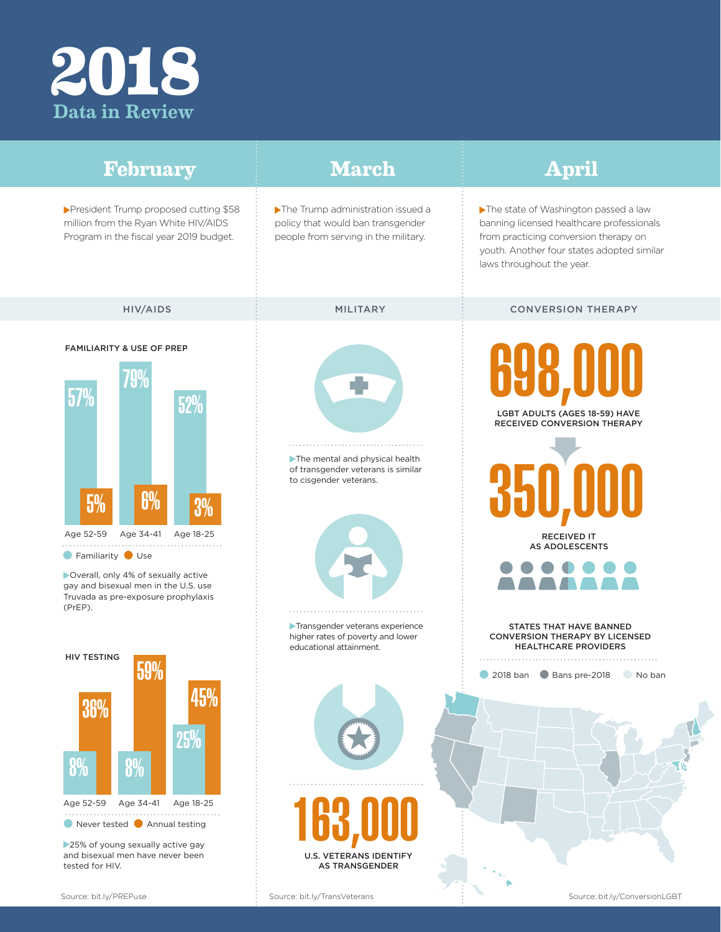## **2018** Data in Review

| February                                                                                                                                                                                                                                                 | <b>March</b>                                                                                                   | <b>April</b>                                                                                                                                                                                          |
|----------------------------------------------------------------------------------------------------------------------------------------------------------------------------------------------------------------------------------------------------------|----------------------------------------------------------------------------------------------------------------|-------------------------------------------------------------------------------------------------------------------------------------------------------------------------------------------------------|
| President Trump proposed cutting \$58<br>million from the Ryan White HIV/AIDS<br>Program in the fiscal year 2019 budget.                                                                                                                                 | The Trump administration issued a<br>policy that would ban transgender<br>people from serving in the military. | The state of Washington passed a law<br>banning licensed healthcare professionals<br>from practicing conversion therapy on<br>youth. Another four states adopted similar<br>laws throughout the year. |
| HIV/AIDS                                                                                                                                                                                                                                                 | MILITARY                                                                                                       | <b>CONVERSION THERAPY</b>                                                                                                                                                                             |
| FAMILIARITY & USE OF PREP<br>7 J 70<br>57%<br>52%<br>5%<br>3%<br>Age 52-59 Age 34-41 Age 18-25<br>● Familiarity ● Use<br>▶ Overall, only 4% of sexually active<br>gay and bisexual men in the U.S. use<br>Truvada as pre-exposure prophylaxis<br>(PrEP). | The mental and physical health<br>of transgender veterans is similar<br>to cisgender veterans.                 | LGBT ADULTS (AGES 18-59) HAVE<br>RECEIVED CONVERSION THERAPY<br><b>RECEIVED IT</b><br>AS ADOLESCENTS                                                                                                  |
| HIV TESTING<br>E NA<br>JJ/0<br>407<br>36%<br>25%                                                                                                                                                                                                         | Transgender veterans experience<br>higher rates of poverty and lower<br>educational attainment.                | STATES THAT HAVE BANNED<br>CONVERSION THERAPY BY LICENSED<br>HEALTHCARE PROVIDERS<br>2018 ban Bans pre-2018<br>No ban                                                                                 |
| $\boxed{00}$<br>$8\%$<br>Age 52-59 Age 34-41 Age 18-25<br>Never tested Annual testing<br>>25% of young sexually active gay<br>and bisexual men have never been<br>tested for HIV.                                                                        | <b>U.S. VETERANS IDENTIFY</b><br>AS TRANSGENDER                                                                |                                                                                                                                                                                                       |
| Source: bit.ly/PREPuse                                                                                                                                                                                                                                   | Source: bit.ly/TransVeterans                                                                                   | Source: bit.ly/ConversionLGBT                                                                                                                                                                         |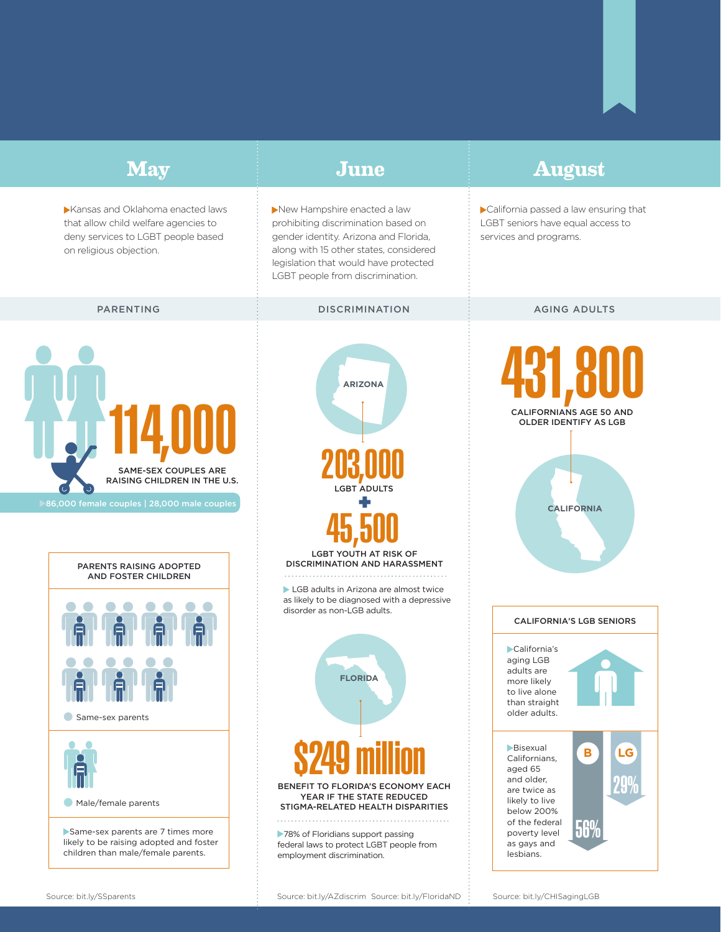## **February March April May June August** Kansas and Oklahoma enacted laws New Hampshire enacted a law California passed a law ensuring that that allow child welfare agencies to prohibiting discrimination based on LGBT seniors have equal access to deny services to LGBT people based gender identity. Arizona and Florida, services and programs. on religious objection. along with 15 other states, considered legislation that would have protected LGBT people from discrimination. PARENTING  $\vdots$  DISCRIMINATION  $\vdots$  AGING ADULTS 431,800 **ARIZONA** 114,000 CALIFORNIANS AGE 50 AND OLDER IDENTIFY AS LGB 203,000 SAME-SEX COUPLES ARE RAISING CHILDREN IN THE U.S. LGBT ADULTS + **CALIFORNIA** A5,500 PARENTS RAISING ADOPTED DISCRIMINATION AND HARASSMENT AND FOSTER CHILDREN LGB adults in Arizona are almost twice as likely to be diagnosed with a depressive disorder as non-LGB adults. CALIFORNIA'S LGB SENIORS California's aging LGB adults are **FLORIDA** more likely to live alone than straight<br>older adults. O Same-sex parents del change and the straight of the straight of the straight of the straight of the straight of the straight of the straight of the straight of the straight of the straight of the straight of the straight  $\sum_{\text{2nd} \text{ of } \text{Cyl}/\text{Cyl}/\text{Cyl}/\text{Cyl}/\text{Cyl}/\text{Cyl}/\text{Cyl}/\text{Cyl}/\text{Cyl}/\text{Cyl}/\text{Cyl}/\text{Cyl}/\text{Cyl}/\text{Cyl}/\text{Cyl}/\text{Cyl}/\text{Cyl}/\text{Cyl}/\text{Cyl}/\text{Cyl}/\text{Cyl}/\text{Cyl}/\text{Cyl}/\text{Cyl}/\text{Cyl}/\text{Cyl}/\text{Cyl}/\text{Cyl}/\text{Cyl}/\text{Cyl}/\text{Cyl}/\text{Cyl}/\text{Cyl}/\text{Cyl}/\text$ **B LG**Californians, aged 65 and older, 29% BENEFIT TO FLORIDA'S ECONOMY EACH are twice as YEAR IF THE STATE REDUCED likely to live •Male/female parents STIGMA-RELATED HEALTH DISPARITIES below 200% of the federal 56% Same-sex parents are 7 times more ▶78% of Floridians support passing poverty level likely to be raising adopted and foster as gays and federal laws to protect LGBT people from children than male/female parents. employment discrimination. lesbians.